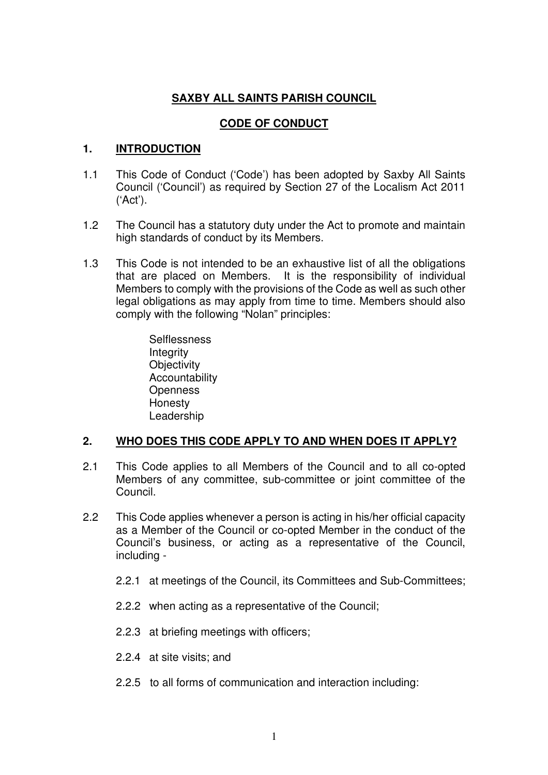# **SAXBY ALL SAINTS PARISH COUNCIL**

# **CODE OF CONDUCT**

# **1. INTRODUCTION**

- 1.1 This Code of Conduct ('Code') has been adopted by Saxby All Saints Council ('Council') as required by Section 27 of the Localism Act 2011 ('Act').
- 1.2 The Council has a statutory duty under the Act to promote and maintain high standards of conduct by its Members.
- 1.3 This Code is not intended to be an exhaustive list of all the obligations that are placed on Members. It is the responsibility of individual Members to comply with the provisions of the Code as well as such other legal obligations as may apply from time to time. Members should also comply with the following "Nolan" principles:
	- **Selflessness Integrity Objectivity** Accountability **Openness** Honesty Leadership

## **2. WHO DOES THIS CODE APPLY TO AND WHEN DOES IT APPLY?**

- 2.1 This Code applies to all Members of the Council and to all co-opted Members of any committee, sub-committee or joint committee of the Council.
- 2.2 This Code applies whenever a person is acting in his/her official capacity as a Member of the Council or co-opted Member in the conduct of the Council's business, or acting as a representative of the Council, including -
	- 2.2.1 at meetings of the Council, its Committees and Sub-Committees;
	- 2.2.2 when acting as a representative of the Council;
	- 2.2.3 at briefing meetings with officers;
	- 2.2.4 at site visits; and
	- 2.2.5 to all forms of communication and interaction including: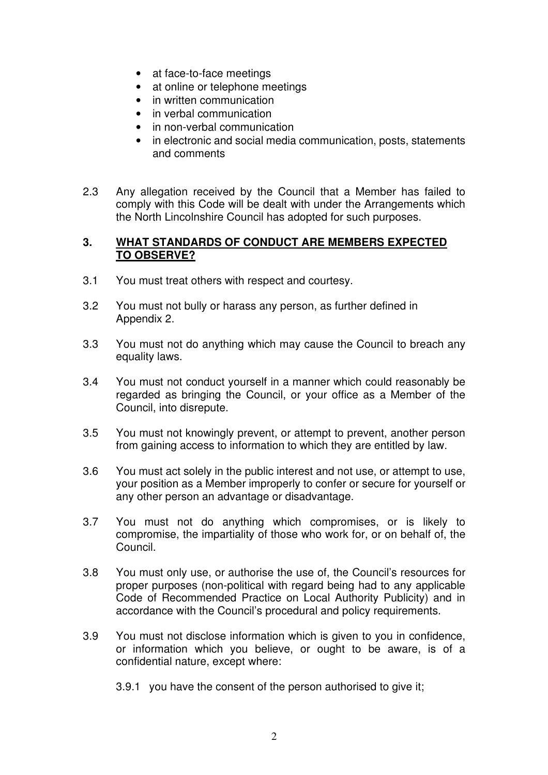- at face-to-face meetings
- at online or telephone meetings
- in written communication
- in verbal communication
- in non-verbal communication
- in electronic and social media communication, posts, statements and comments
- 2.3 Any allegation received by the Council that a Member has failed to comply with this Code will be dealt with under the Arrangements which the North Lincolnshire Council has adopted for such purposes.

#### **3. WHAT STANDARDS OF CONDUCT ARE MEMBERS EXPECTED TO OBSERVE?**

- 3.1 You must treat others with respect and courtesy.
- 3.2 You must not bully or harass any person, as further defined in Appendix 2.
- 3.3 You must not do anything which may cause the Council to breach any equality laws.
- 3.4 You must not conduct yourself in a manner which could reasonably be regarded as bringing the Council, or your office as a Member of the Council, into disrepute.
- 3.5 You must not knowingly prevent, or attempt to prevent, another person from gaining access to information to which they are entitled by law.
- 3.6 You must act solely in the public interest and not use, or attempt to use, your position as a Member improperly to confer or secure for yourself or any other person an advantage or disadvantage.
- 3.7 You must not do anything which compromises, or is likely to compromise, the impartiality of those who work for, or on behalf of, the Council.
- 3.8 You must only use, or authorise the use of, the Council's resources for proper purposes (non-political with regard being had to any applicable Code of Recommended Practice on Local Authority Publicity) and in accordance with the Council's procedural and policy requirements.
- 3.9 You must not disclose information which is given to you in confidence, or information which you believe, or ought to be aware, is of a confidential nature, except where:
	- 3.9.1 you have the consent of the person authorised to give it;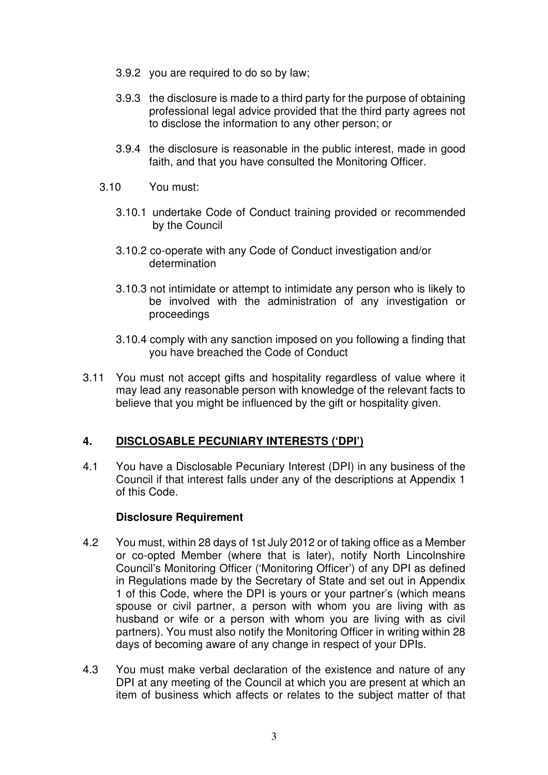- 3.9.2 you are required to do so by law;
- 3.9.3 the disclosure is made to a third party for the purpose of obtaining professional legal advice provided that the third party agrees not to disclose the information to any other person; or
- 3.9.4 the disclosure is reasonable in the public interest, made in good faith, and that you have consulted the Monitoring Officer.
- 3.10 You must:
	- 3.10.1 undertake Code of Conduct training provided or recommended by the Council
	- 3.10.2 co-operate with any Code of Conduct investigation and/or determination
	- 3.10.3 not intimidate or attempt to intimidate any person who is likely to be involved with the administration of any investigation or proceedings
	- 3.10.4 comply with any sanction imposed on you following a finding that you have breached the Code of Conduct
- 3.11 You must not accept gifts and hospitality regardless of value where it may lead any reasonable person with knowledge of the relevant facts to believe that you might be influenced by the gift or hospitality given.

#### **4. DISCLOSABLE PECUNIARY INTERESTS ('DPI')**

4.1 You have a Disclosable Pecuniary Interest (DPI) in any business of the Council if that interest falls under any of the descriptions at Appendix 1 of this Code.

#### **Disclosure Requirement**

- 4.2 You must, within 28 days of 1st July 2012 or of taking office as a Member or co-opted Member (where that is later), notify North Lincolnshire Council's Monitoring Officer ('Monitoring Officer') of any DPI as defined in Regulations made by the Secretary of State and set out in Appendix 1 of this Code, where the DPI is yours or your partner's (which means spouse or civil partner, a person with whom you are living with as husband or wife or a person with whom you are living with as civil partners). You must also notify the Monitoring Officer in writing within 28 days of becoming aware of any change in respect of your DPIs.
- 4.3 You must make verbal declaration of the existence and nature of any DPI at any meeting of the Council at which you are present at which an item of business which affects or relates to the subject matter of that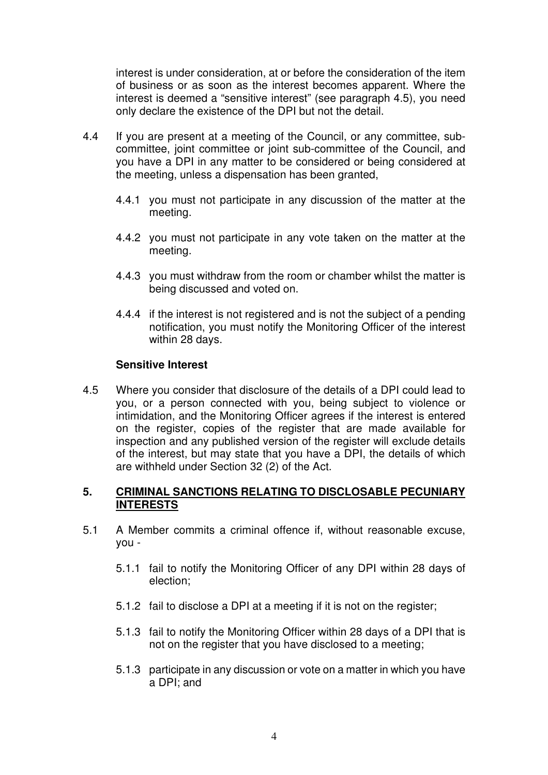interest is under consideration, at or before the consideration of the item of business or as soon as the interest becomes apparent. Where the interest is deemed a "sensitive interest" (see paragraph 4.5), you need only declare the existence of the DPI but not the detail.

- 4.4 If you are present at a meeting of the Council, or any committee, subcommittee, joint committee or joint sub-committee of the Council, and you have a DPI in any matter to be considered or being considered at the meeting, unless a dispensation has been granted,
	- 4.4.1 you must not participate in any discussion of the matter at the meeting.
	- 4.4.2 you must not participate in any vote taken on the matter at the meeting.
	- 4.4.3 you must withdraw from the room or chamber whilst the matter is being discussed and voted on.
	- 4.4.4 if the interest is not registered and is not the subject of a pending notification, you must notify the Monitoring Officer of the interest within 28 days.

#### **Sensitive Interest**

4.5 Where you consider that disclosure of the details of a DPI could lead to you, or a person connected with you, being subject to violence or intimidation, and the Monitoring Officer agrees if the interest is entered on the register, copies of the register that are made available for inspection and any published version of the register will exclude details of the interest, but may state that you have a DPI, the details of which are withheld under Section 32 (2) of the Act.

## **5. CRIMINAL SANCTIONS RELATING TO DISCLOSABLE PECUNIARY INTERESTS**

- 5.1 A Member commits a criminal offence if, without reasonable excuse, you -
	- 5.1.1 fail to notify the Monitoring Officer of any DPI within 28 days of election;
	- 5.1.2 fail to disclose a DPI at a meeting if it is not on the register;
	- 5.1.3 fail to notify the Monitoring Officer within 28 days of a DPI that is not on the register that you have disclosed to a meeting;
	- 5.1.3 participate in any discussion or vote on a matter in which you have a DPI; and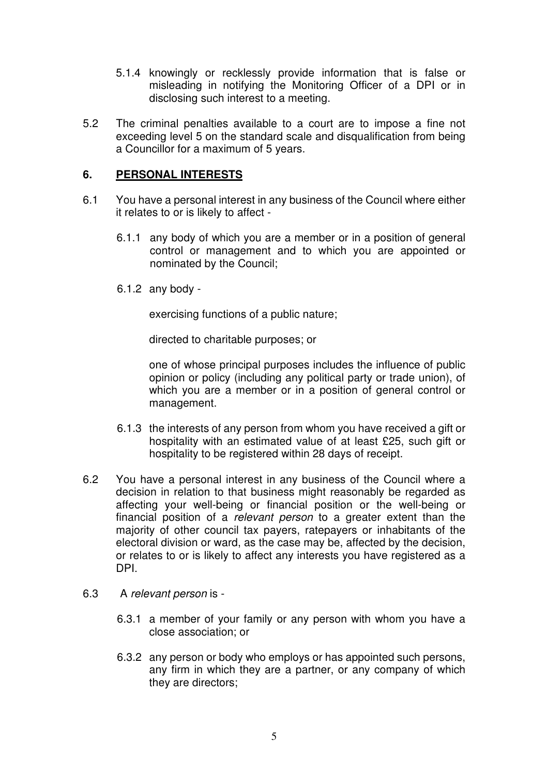- 5.1.4 knowingly or recklessly provide information that is false or misleading in notifying the Monitoring Officer of a DPI or in disclosing such interest to a meeting.
- 5.2 The criminal penalties available to a court are to impose a fine not exceeding level 5 on the standard scale and disqualification from being a Councillor for a maximum of 5 years.

## **6. PERSONAL INTERESTS**

- 6.1 You have a personal interest in any business of the Council where either it relates to or is likely to affect -
	- 6.1.1 any body of which you are a member or in a position of general control or management and to which you are appointed or nominated by the Council;
	- 6.1.2 any body -

exercising functions of a public nature;

directed to charitable purposes; or

one of whose principal purposes includes the influence of public opinion or policy (including any political party or trade union), of which you are a member or in a position of general control or management.

- 6.1.3 the interests of any person from whom you have received a gift or hospitality with an estimated value of at least £25, such gift or hospitality to be registered within 28 days of receipt.
- 6.2 You have a personal interest in any business of the Council where a decision in relation to that business might reasonably be regarded as affecting your well-being or financial position or the well-being or financial position of a relevant person to a greater extent than the majority of other council tax payers, ratepayers or inhabitants of the electoral division or ward, as the case may be, affected by the decision, or relates to or is likely to affect any interests you have registered as a DPI.
- 6.3 A relevant person is
	- 6.3.1 a member of your family or any person with whom you have a close association; or
	- 6.3.2 any person or body who employs or has appointed such persons, any firm in which they are a partner, or any company of which they are directors;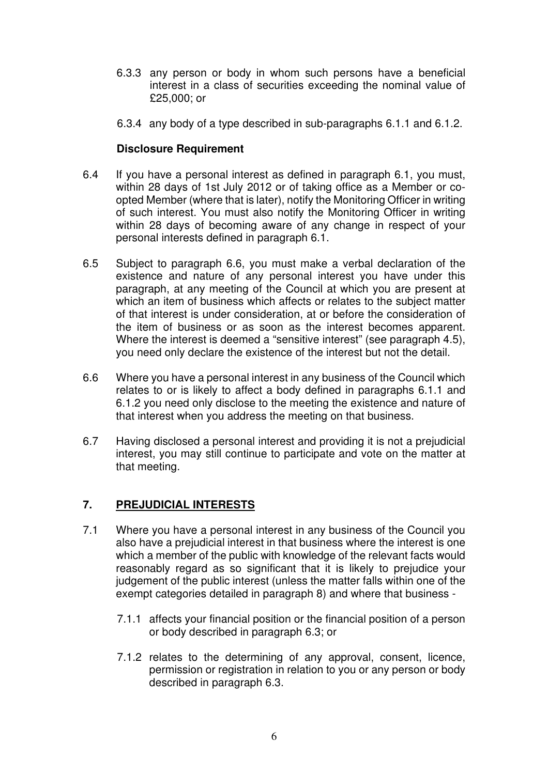- 6.3.3 any person or body in whom such persons have a beneficial interest in a class of securities exceeding the nominal value of £25,000; or
- 6.3.4 any body of a type described in sub-paragraphs 6.1.1 and 6.1.2.

## **Disclosure Requirement**

- 6.4 If you have a personal interest as defined in paragraph 6.1, you must, within 28 days of 1st July 2012 or of taking office as a Member or coopted Member (where that is later), notify the Monitoring Officer in writing of such interest. You must also notify the Monitoring Officer in writing within 28 days of becoming aware of any change in respect of your personal interests defined in paragraph 6.1.
- 6.5 Subject to paragraph 6.6, you must make a verbal declaration of the existence and nature of any personal interest you have under this paragraph, at any meeting of the Council at which you are present at which an item of business which affects or relates to the subject matter of that interest is under consideration, at or before the consideration of the item of business or as soon as the interest becomes apparent. Where the interest is deemed a "sensitive interest" (see paragraph 4.5), you need only declare the existence of the interest but not the detail.
- 6.6 Where you have a personal interest in any business of the Council which relates to or is likely to affect a body defined in paragraphs 6.1.1 and 6.1.2 you need only disclose to the meeting the existence and nature of that interest when you address the meeting on that business.
- 6.7 Having disclosed a personal interest and providing it is not a prejudicial interest, you may still continue to participate and vote on the matter at that meeting.

## **7. PREJUDICIAL INTERESTS**

- 7.1 Where you have a personal interest in any business of the Council you also have a prejudicial interest in that business where the interest is one which a member of the public with knowledge of the relevant facts would reasonably regard as so significant that it is likely to prejudice your judgement of the public interest (unless the matter falls within one of the exempt categories detailed in paragraph 8) and where that business -
	- 7.1.1 affects your financial position or the financial position of a person or body described in paragraph 6.3; or
	- 7.1.2 relates to the determining of any approval, consent, licence, permission or registration in relation to you or any person or body described in paragraph 6.3.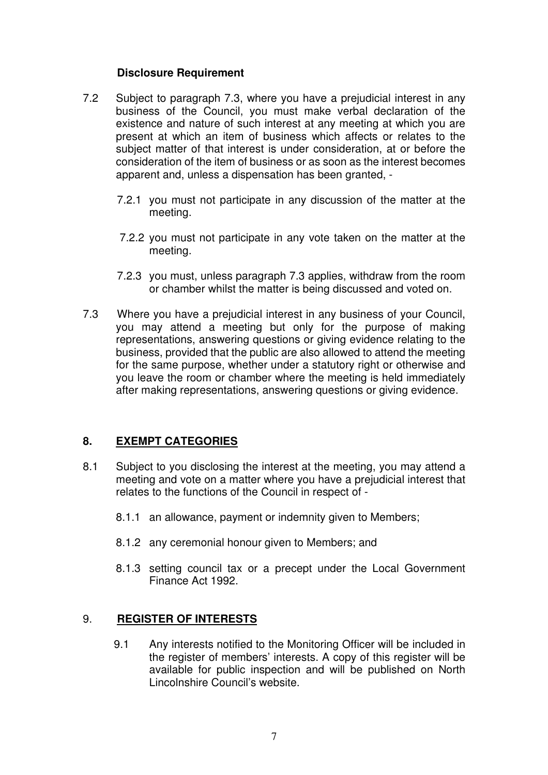## **Disclosure Requirement**

- 7.2 Subject to paragraph 7.3, where you have a prejudicial interest in any business of the Council, you must make verbal declaration of the existence and nature of such interest at any meeting at which you are present at which an item of business which affects or relates to the subject matter of that interest is under consideration, at or before the consideration of the item of business or as soon as the interest becomes apparent and, unless a dispensation has been granted, -
	- 7.2.1 you must not participate in any discussion of the matter at the meeting.
	- 7.2.2 you must not participate in any vote taken on the matter at the meeting.
	- 7.2.3 you must, unless paragraph 7.3 applies, withdraw from the room or chamber whilst the matter is being discussed and voted on.
- 7.3 Where you have a prejudicial interest in any business of your Council, you may attend a meeting but only for the purpose of making representations, answering questions or giving evidence relating to the business, provided that the public are also allowed to attend the meeting for the same purpose, whether under a statutory right or otherwise and you leave the room or chamber where the meeting is held immediately after making representations, answering questions or giving evidence.

## **8. EXEMPT CATEGORIES**

- 8.1 Subject to you disclosing the interest at the meeting, you may attend a meeting and vote on a matter where you have a prejudicial interest that relates to the functions of the Council in respect of -
	- 8.1.1 an allowance, payment or indemnity given to Members;
	- 8.1.2 any ceremonial honour given to Members; and
	- 8.1.3 setting council tax or a precept under the Local Government Finance Act 1992.

#### 9. **REGISTER OF INTERESTS**

9.1 Any interests notified to the Monitoring Officer will be included in the register of members' interests. A copy of this register will be available for public inspection and will be published on North Lincolnshire Council's website.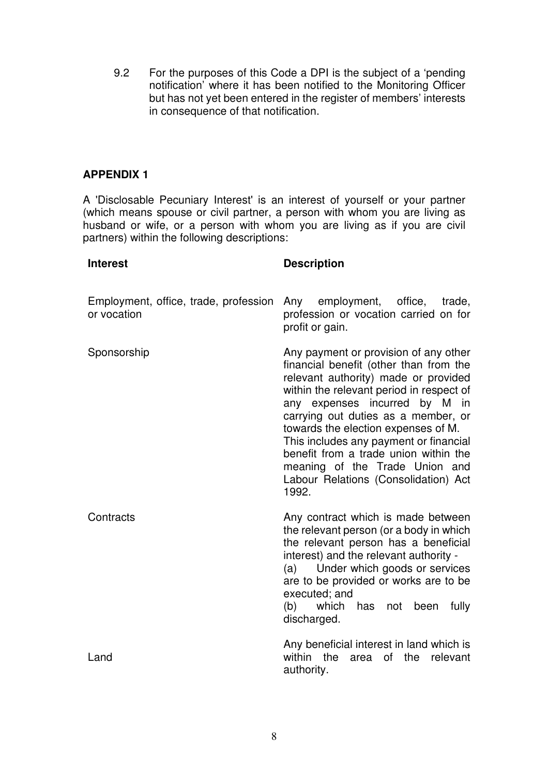9.2 For the purposes of this Code a DPI is the subject of a 'pending notification' where it has been notified to the Monitoring Officer but has not yet been entered in the register of members' interests in consequence of that notification.

## **APPENDIX 1**

A 'Disclosable Pecuniary Interest' is an interest of yourself or your partner (which means spouse or civil partner, a person with whom you are living as husband or wife, or a person with whom you are living as if you are civil partners) within the following descriptions:

#### **Interest Description** Employment, office, trade, profession or vocation Sponsorship **Contracts** Land employment, office, trade, profession or vocation carried on for profit or gain. Any payment or provision of any other financial benefit (other than from the relevant authority) made or provided within the relevant period in respect of any expenses incurred by M in carrying out duties as a member, or towards the election expenses of M. This includes any payment or financial benefit from a trade union within the meaning of the Trade Union and Labour Relations (Consolidation) Act 1992. Any contract which is made between the relevant person (or a body in which the relevant person has a beneficial interest) and the relevant authority - (a) Under which goods or services are to be provided or works are to be executed; and (b) which has not been fully discharged. Any beneficial interest in land which is within the area of the relevant authority.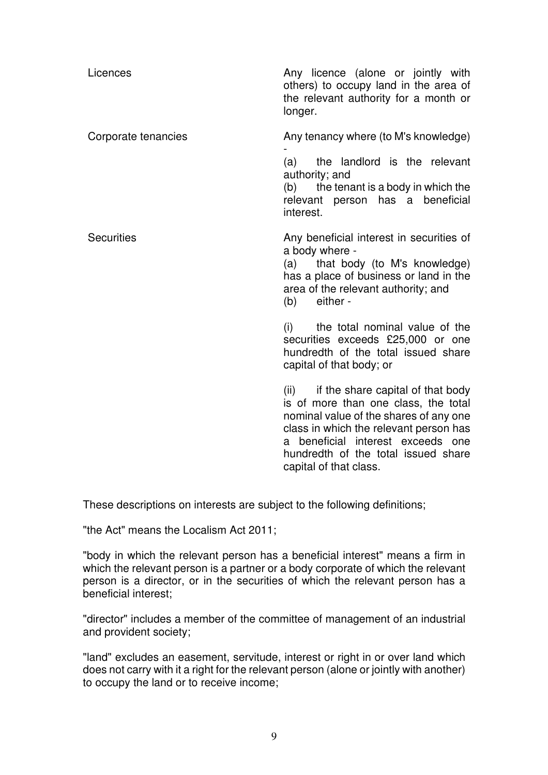| Licences            | Any licence (alone or jointly with<br>others) to occupy land in the area of<br>the relevant authority for a month or<br>longer.                                                                                                                                             |
|---------------------|-----------------------------------------------------------------------------------------------------------------------------------------------------------------------------------------------------------------------------------------------------------------------------|
| Corporate tenancies | Any tenancy where (to M's knowledge)<br>(a) the landlord is the relevant<br>authority; and<br>(b) the tenant is a body in which the<br>relevant person has a beneficial<br>interest.                                                                                        |
| <b>Securities</b>   | Any beneficial interest in securities of<br>a body where -<br>(a) that body (to M's knowledge)<br>has a place of business or land in the<br>area of the relevant authority; and<br>(b) either -                                                                             |
|                     | (i) the total nominal value of the<br>securities exceeds £25,000 or one<br>hundredth of the total issued share<br>capital of that body; or                                                                                                                                  |
|                     | (ii) if the share capital of that body<br>is of more than one class, the total<br>nominal value of the shares of any one<br>class in which the relevant person has<br>beneficial interest exceeds one<br>a<br>hundredth of the total issued share<br>capital of that class. |

These descriptions on interests are subject to the following definitions;

"the Act" means the Localism Act 2011;

"body in which the relevant person has a beneficial interest" means a firm in which the relevant person is a partner or a body corporate of which the relevant person is a director, or in the securities of which the relevant person has a beneficial interest;

"director" includes a member of the committee of management of an industrial and provident society;

"land" excludes an easement, servitude, interest or right in or over land which does not carry with it a right for the relevant person (alone or jointly with another) to occupy the land or to receive income;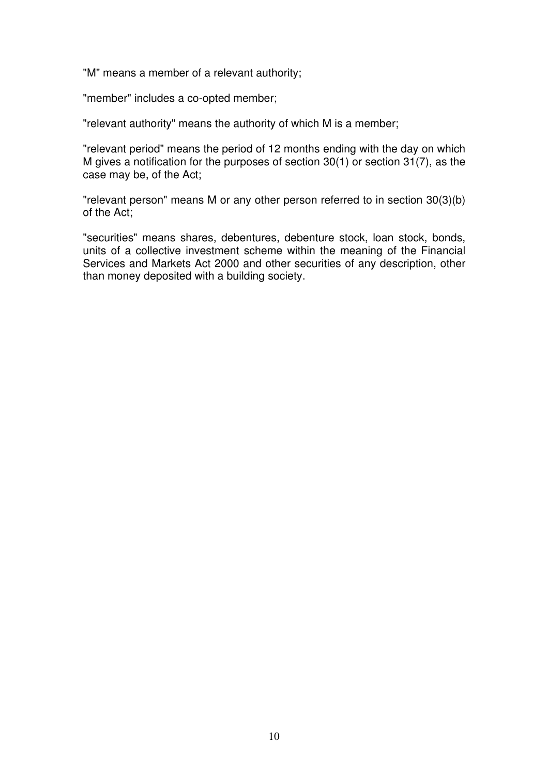"M" means a member of a relevant authority;

"member" includes a co-opted member;

"relevant authority" means the authority of which M is a member;

"relevant period" means the period of 12 months ending with the day on which M gives a notification for the purposes of section 30(1) or section 31(7), as the case may be, of the Act;

"relevant person" means M or any other person referred to in section 30(3)(b) of the Act;

"securities" means shares, debentures, debenture stock, loan stock, bonds, units of a collective investment scheme within the meaning of the Financial Services and Markets Act 2000 and other securities of any description, other than money deposited with a building society.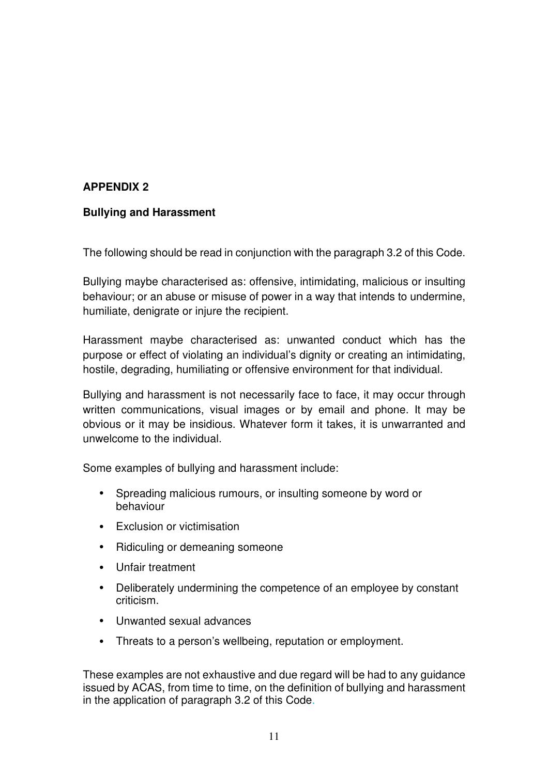# **APPENDIX 2**

## **Bullying and Harassment**

The following should be read in conjunction with the paragraph 3.2 of this Code.

Bullying maybe characterised as: offensive, intimidating, malicious or insulting behaviour; or an abuse or misuse of power in a way that intends to undermine, humiliate, denigrate or injure the recipient.

Harassment maybe characterised as: unwanted conduct which has the purpose or effect of violating an individual's dignity or creating an intimidating, hostile, degrading, humiliating or offensive environment for that individual.

Bullying and harassment is not necessarily face to face, it may occur through written communications, visual images or by email and phone. It may be obvious or it may be insidious. Whatever form it takes, it is unwarranted and unwelcome to the individual.

Some examples of bullying and harassment include:

- Spreading malicious rumours, or insulting someone by word or behaviour
- Exclusion or victimisation
- Ridiculing or demeaning someone
- Unfair treatment
- Deliberately undermining the competence of an employee by constant criticism.
- Unwanted sexual advances
- Threats to a person's wellbeing, reputation or employment.

These examples are not exhaustive and due regard will be had to any guidance issued by ACAS, from time to time, on the definition of bullying and harassment in the application of paragraph 3.2 of this Code.